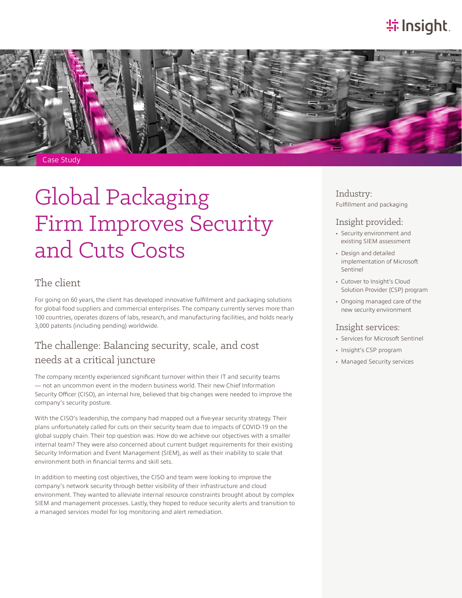# **特Insight**.



# Global Packaging Firm Improves Security and Cuts Costs

#### The client

For going on 60 years, the client has developed innovative fulfillment and packaging solutions for global food suppliers and commercial enterprises. The company currently serves more than 100 countries, operates dozens of labs, research, and manufacturing facilities, and holds nearly 3,000 patents (including pending) worldwide.

### The challenge: Balancing security, scale, and cost needs at a critical juncture

The company recently experienced significant turnover within their IT and security teams — not an uncommon event in the modern business world. Their new Chief Information Security Officer (CISO), an internal hire, believed that big changes were needed to improve the company's security posture.

With the CISO's leadership, the company had mapped out a five-year security strategy. Their plans unfortunately called for cuts on their security team due to impacts of COVID-19 on the global supply chain. Their top question was: How do we achieve our objectives with a smaller internal team? They were also concerned about current budget requirements for their existing Security Information and Event Management (SIEM), as well as their inability to scale that environment both in financial terms and skill sets.

In addition to meeting cost objectives, the CISO and team were looking to improve the company's network security through better visibility of their infrastructure and cloud environment. They wanted to alleviate internal resource constraints brought about by complex SIEM and management processes. Lastly, they hoped to reduce security alerts and transition to a managed services model for log monitoring and alert remediation.

Industry: Fulfillment and packaging

#### Insight provided:

- Security environment and existing SIEM assessment
- Design and detailed implementation of Microsoft Sentinel
- Cutover to Insight's Cloud Solution Provider (CSP) program
- Ongoing managed care of the new security environment

#### Insight services:

- Services for Microsoft Sentinel
- Insight's CSP program
- Managed Security services